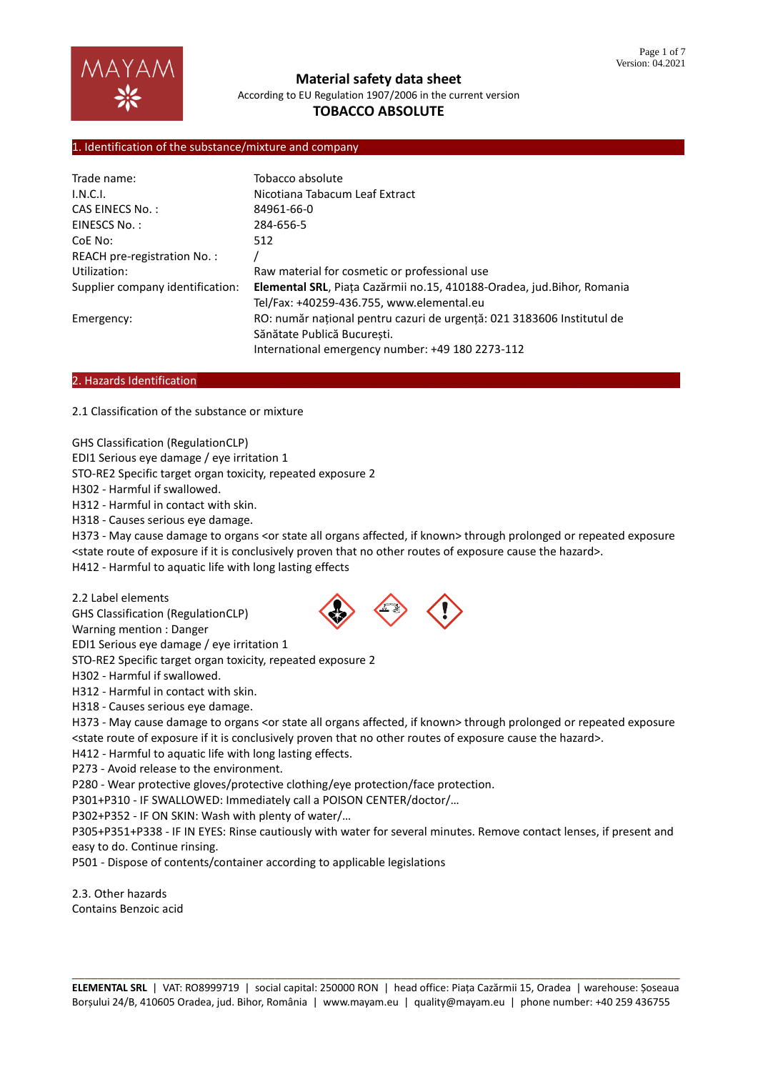

# **TOBACCO ABSOLUTE**

## 1. Identification of the substance/mixture and company

| Trade name:                      | Tobacco absolute                                                        |
|----------------------------------|-------------------------------------------------------------------------|
| I.N.C.I.                         | Nicotiana Tabacum Leaf Extract                                          |
| <b>CAS EINECS No.:</b>           | 84961-66-0                                                              |
| EINESCS No.:                     | 284-656-5                                                               |
| CoE No:                          | 512                                                                     |
| REACH pre-registration No.:      |                                                                         |
| Utilization:                     | Raw material for cosmetic or professional use                           |
| Supplier company identification: | Elemental SRL, Piața Cazărmii no.15, 410188-Oradea, jud. Bihor, Romania |
|                                  | Tel/Fax: +40259-436.755, www.elemental.eu                               |
| Emergency:                       | RO: număr național pentru cazuri de urgență: 021 3183606 Institutul de  |
|                                  | Sănătate Publică Bucuresti.                                             |
|                                  | International emergency number: +49 180 2273-112                        |

### 2. Hazards Identification

2.1 Classification of the substance or mixture

GHS Classification (RegulationCLP)

EDI1 Serious eye damage / eye irritation 1

STO-RE2 Specific target organ toxicity, repeated exposure 2

H302 - Harmful if swallowed.

H312 - Harmful in contact with skin.

H318 - Causes serious eye damage.

H373 - May cause damage to organs <or state all organs affected, if known> through prolonged or repeated exposure <state route of exposure if it is conclusively proven that no other routes of exposure cause the hazard>.

H412 - Harmful to aquatic life with long lasting effects

2.2 Label elements

GHS Classification (RegulationCLP)

Warning mention : Danger

EDI1 Serious eye damage / eye irritation 1

STO-RE2 Specific target organ toxicity, repeated exposure 2

H302 - Harmful if swallowed.

H312 - Harmful in contact with skin.

H318 - Causes serious eye damage.

H373 - May cause damage to organs <or state all organs affected, if known> through prolonged or repeated exposure <state route of exposure if it is conclusively proven that no other routes of exposure cause the hazard>.

H412 - Harmful to aquatic life with long lasting effects.

P273 - Avoid release to the environment.

P280 - Wear protective gloves/protective clothing/eye protection/face protection.

P301+P310 - IF SWALLOWED: Immediately call a POISON CENTER/doctor/…

P302+P352 - IF ON SKIN: Wash with plenty of water/…

P305+P351+P338 - IF IN EYES: Rinse cautiously with water for several minutes. Remove contact lenses, if present and easy to do. Continue rinsing.

P501 - Dispose of contents/container according to applicable legislations

2.3. Other hazards Contains Benzoic acid

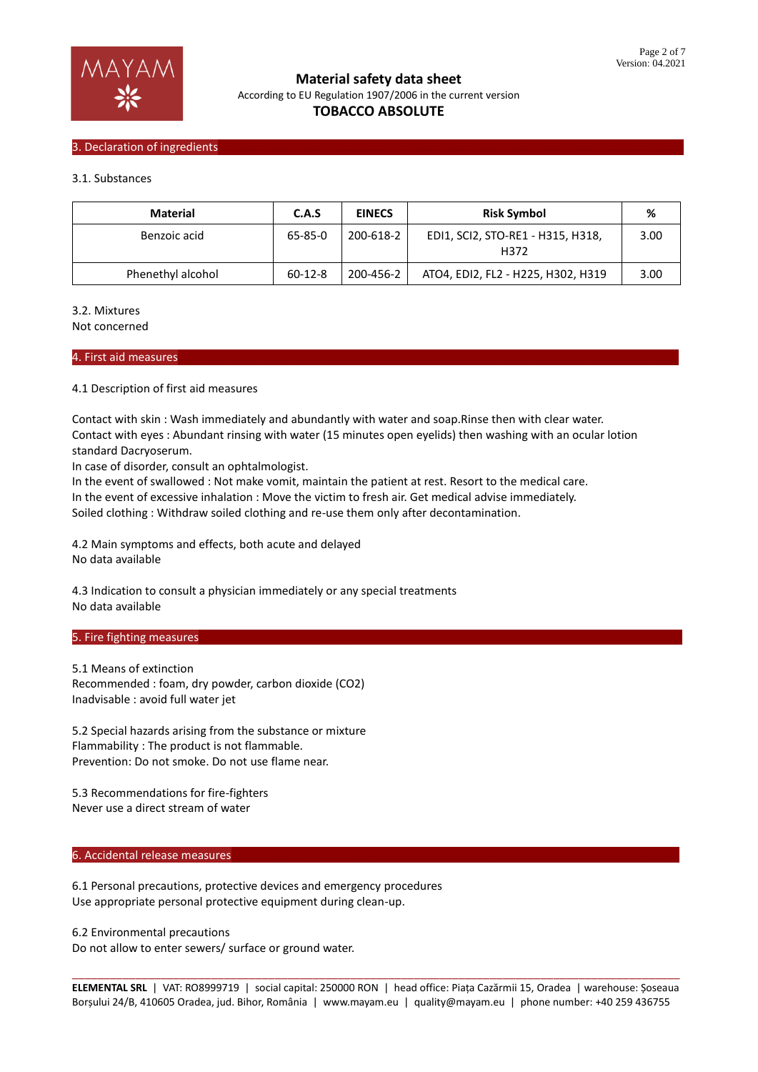

## 3. Declaration of ingredients

### 3.1. Substances

| Material          | C.A.S         | <b>EINECS</b> | <b>Risk Symbol</b>                        | %    |
|-------------------|---------------|---------------|-------------------------------------------|------|
| Benzoic acid      | 65-85-0       | 200-618-2     | EDI1, SCI2, STO-RE1 - H315, H318,<br>H372 | 3.00 |
| Phenethyl alcohol | $60 - 12 - 8$ | 200-456-2     | ATO4, EDI2, FL2 - H225, H302, H319        | 3.00 |

### 3.2. Mixtures

Not concerned

#### 4. First aid measures………………………………………………………………………………………………………………………………………………………

### 4.1 Description of first aid measures

Contact with skin : Wash immediately and abundantly with water and soap.Rinse then with clear water. Contact with eyes : Abundant rinsing with water (15 minutes open eyelids) then washing with an ocular lotion standard Dacryoserum.

In case of disorder, consult an ophtalmologist.

In the event of swallowed : Not make vomit, maintain the patient at rest. Resort to the medical care. In the event of excessive inhalation : Move the victim to fresh air. Get medical advise immediately. Soiled clothing : Withdraw soiled clothing and re-use them only after decontamination.

4.2 Main symptoms and effects, both acute and delayed No data available

4.3 Indication to consult a physician immediately or any special treatments No data available

#### 5. Fire fighting measures

5.1 Means of extinction Recommended : foam, dry powder, carbon dioxide (CO2) Inadvisable : avoid full water jet

5.2 Special hazards arising from the substance or mixture Flammability : The product is not flammable. Prevention: Do not smoke. Do not use flame near.

5.3 Recommendations for fire-fighters Never use a direct stream of water

## 6. Accidental release measures

6.1 Personal precautions, protective devices and emergency procedures Use appropriate personal protective equipment during clean-up.

6.2 Environmental precautions

Do not allow to enter sewers/ surface or ground water.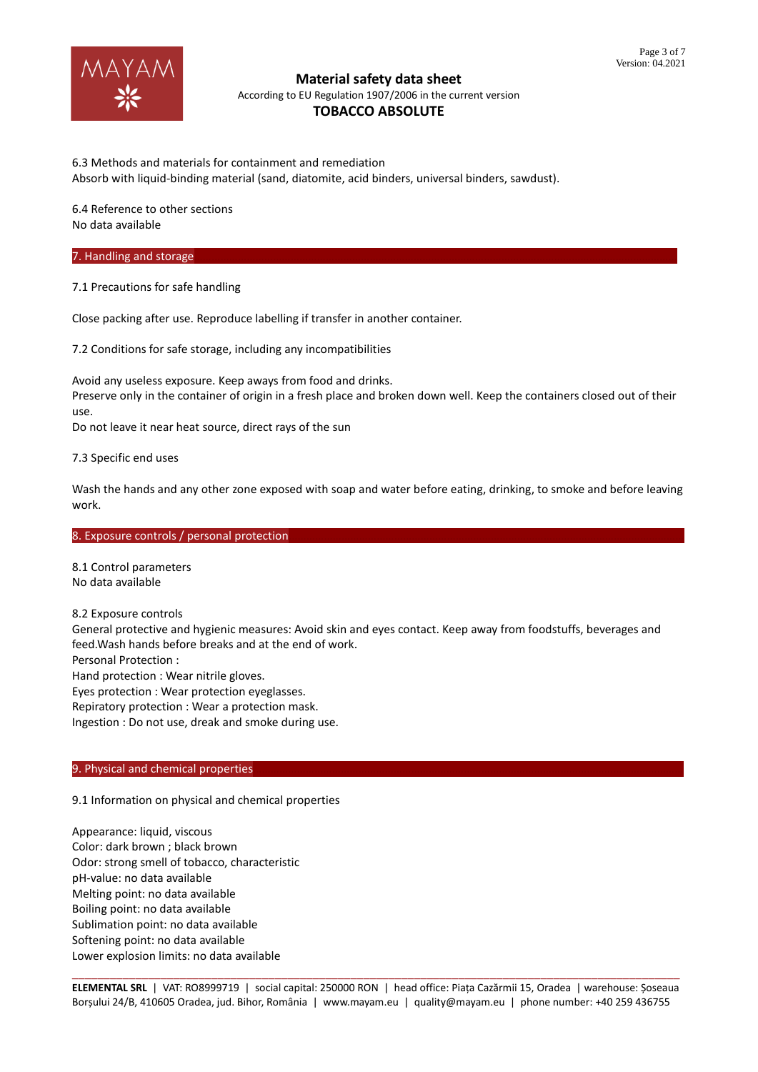

6.3 Methods and materials for containment and remediation Absorb with liquid-binding material (sand, diatomite, acid binders, universal binders, sawdust).

6.4 Reference to other sections No data available

## 7. Handling and storage

7.1 Precautions for safe handling

Close packing after use. Reproduce labelling if transfer in another container.

7.2 Conditions for safe storage, including any incompatibilities

Avoid any useless exposure. Keep aways from food and drinks. Preserve only in the container of origin in a fresh place and broken down well. Keep the containers closed out of their use.

Do not leave it near heat source, direct rays of the sun

7.3 Specific end uses

Wash the hands and any other zone exposed with soap and water before eating, drinking, to smoke and before leaving work.

#### 8. Exposure controls / personal protection

8.1 Control parameters No data available

8.2 Exposure controls

General protective and hygienic measures: Avoid skin and eyes contact. Keep away from foodstuffs, beverages and feed.Wash hands before breaks and at the end of work.

Personal Protection :

Hand protection : Wear nitrile gloves.

Eyes protection : Wear protection eyeglasses.

Repiratory protection : Wear a protection mask.

Ingestion : Do not use, dreak and smoke during use.

## 9. Physical and chemical properties

9.1 Information on physical and chemical properties

Appearance: liquid, viscous Color: dark brown ; black brown Odor: strong smell of tobacco, characteristic pH-value: no data available Melting point: no data available Boiling point: no data available Sublimation point: no data available Softening point: no data available Lower explosion limits: no data available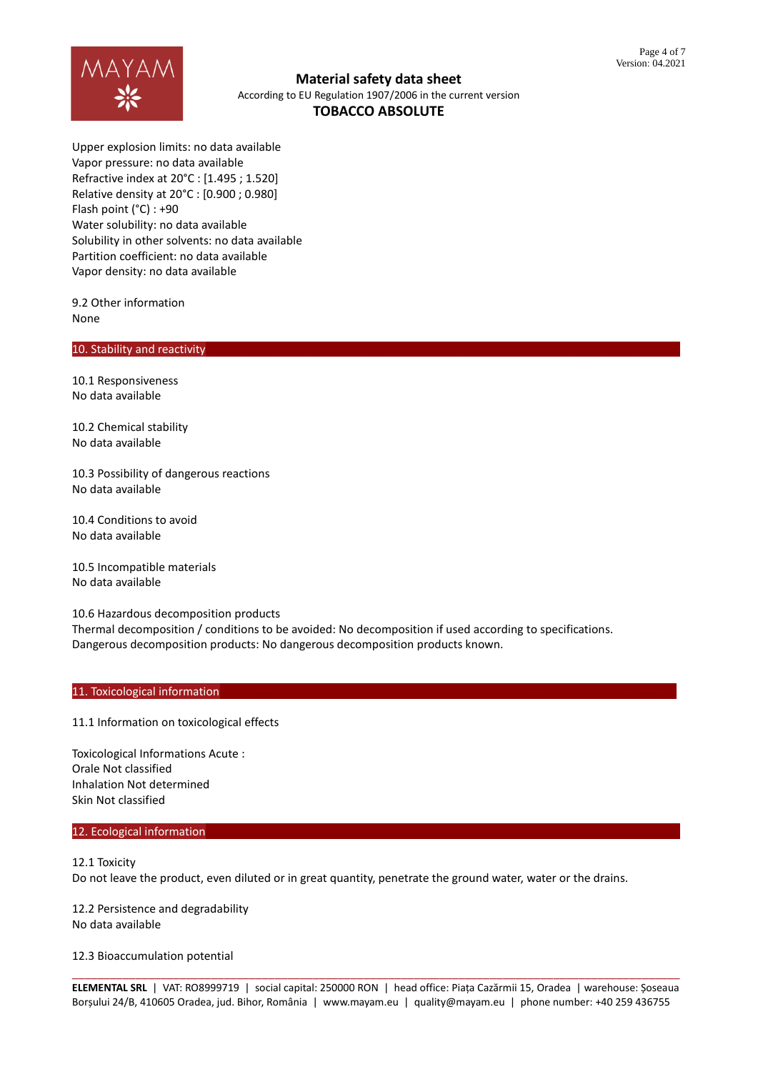

Upper explosion limits: no data available Vapor pressure: no data available Refractive index at 20°C : [1.495 ; 1.520] Relative density at 20°C : [0.900 ; 0.980] Flash point (°C) : +90 Water solubility: no data available Solubility in other solvents: no data available Partition coefficient: no data available Vapor density: no data available

9.2 Other information None

## 10. Stability and reactivity

10.1 Responsiveness No data available

10.2 Chemical stability No data available

10.3 Possibility of dangerous reactions No data available

10.4 Conditions to avoid No data available

10.5 Incompatible materials No data available

10.6 Hazardous decomposition products Thermal decomposition / conditions to be avoided: No decomposition if used according to specifications. Dangerous decomposition products: No dangerous decomposition products known.

## 11. Toxicological information

11.1 Information on toxicological effects

Toxicological Informations Acute : Orale Not classified Inhalation Not determined Skin Not classified

#### 12. Ecological information

12.1 Toxicity Do not leave the product, even diluted or in great quantity, penetrate the ground water, water or the drains.

12.2 Persistence and degradability No data available

12.3 Bioaccumulation potential

\_\_\_\_\_\_\_\_\_\_\_\_\_\_\_\_\_\_\_\_\_\_\_\_\_\_\_\_\_\_\_\_\_\_\_\_\_\_\_\_\_\_\_\_\_\_\_\_\_\_\_\_\_\_\_\_\_\_\_\_\_\_\_\_\_\_\_\_\_\_\_\_\_\_\_\_\_\_\_\_\_\_\_\_\_\_\_\_\_\_\_\_\_\_\_\_ **ELEMENTAL SRL** | VAT: RO8999719 | social capital: 250000 RON | head office: Piața Cazărmii 15, Oradea | warehouse: Șoseaua Borșului 24/B, 410605 Oradea, jud. Bihor, România | www.mayam.eu | quality@mayam.eu | phone number: +40 259 436755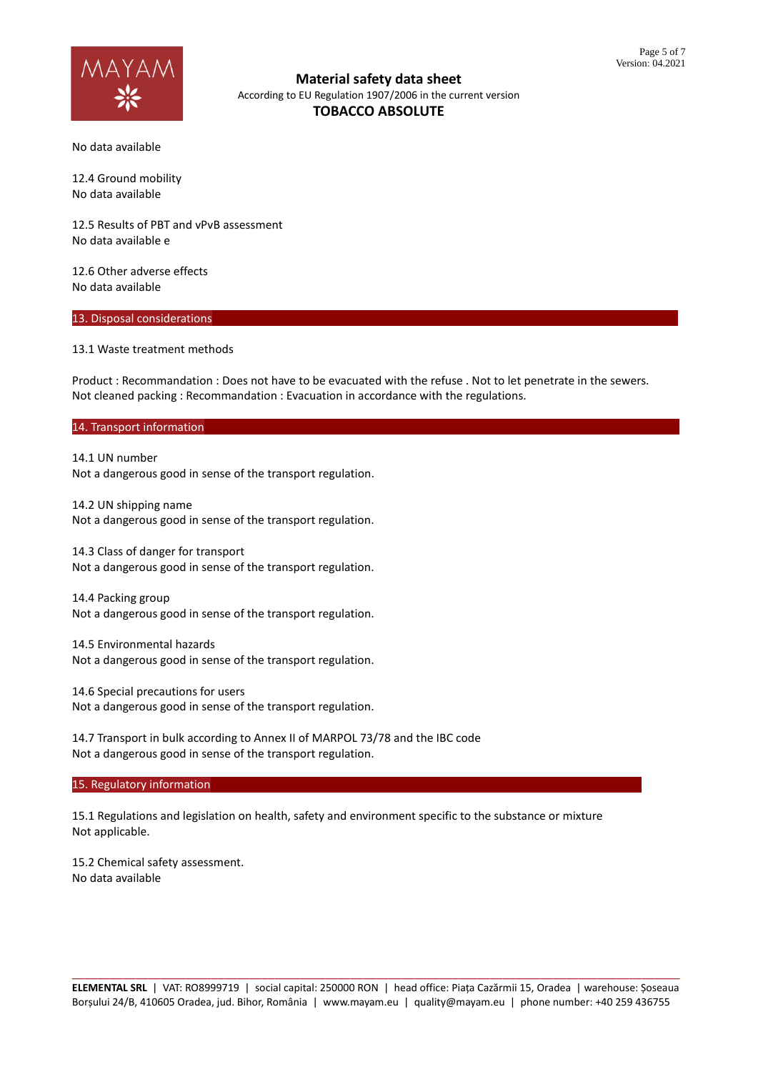

No data available

12.4 Ground mobility No data available

12.5 Results of PBT and vPvB assessment No data available e

12.6 Other adverse effects No data available

## 13. Disposal considerations

13.1 Waste treatment methods

Product : Recommandation : Does not have to be evacuated with the refuse . Not to let penetrate in the sewers. Not cleaned packing : Recommandation : Evacuation in accordance with the regulations.

## 14. Transport information

14.1 UN number Not a dangerous good in sense of the transport regulation.

14.2 UN shipping name Not a dangerous good in sense of the transport regulation.

14.3 Class of danger for transport Not a dangerous good in sense of the transport regulation.

14.4 Packing group Not a dangerous good in sense of the transport regulation.

14.5 Environmental hazards Not a dangerous good in sense of the transport regulation.

14.6 Special precautions for users Not a dangerous good in sense of the transport regulation.

14.7 Transport in bulk according to Annex II of MARPOL 73/78 and the IBC code Not a dangerous good in sense of the transport regulation.

15. Regulatory information

15.1 Regulations and legislation on health, safety and environment specific to the substance or mixture Not applicable.

15.2 Chemical safety assessment. No data available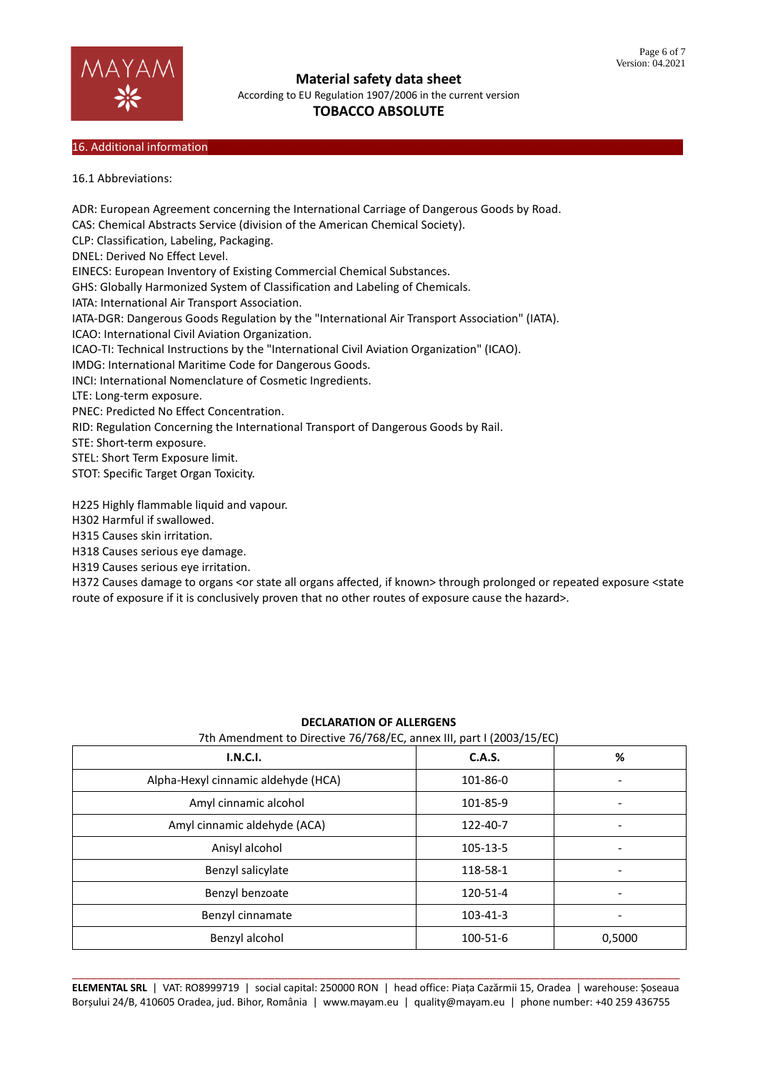

**Material safety data sheet**

According to EU Regulation 1907/2006 in the current version

# **TOBACCO ABSOLUTE**

## 16. Additional information

16.1 Abbreviations:

ADR: European Agreement concerning the International Carriage of Dangerous Goods by Road. CAS: Chemical Abstracts Service (division of the American Chemical Society). CLP: Classification, Labeling, Packaging. DNEL: Derived No Effect Level. EINECS: European Inventory of Existing Commercial Chemical Substances. GHS: Globally Harmonized System of Classification and Labeling of Chemicals. IATA: International Air Transport Association. IATA-DGR: Dangerous Goods Regulation by the "International Air Transport Association" (IATA). ICAO: International Civil Aviation Organization. ICAO-TI: Technical Instructions by the "International Civil Aviation Organization" (ICAO). IMDG: International Maritime Code for Dangerous Goods. INCI: International Nomenclature of Cosmetic Ingredients. LTE: Long-term exposure. PNEC: Predicted No Effect Concentration. RID: Regulation Concerning the International Transport of Dangerous Goods by Rail. STE: Short-term exposure. STEL: Short Term Exposure limit. STOT: Specific Target Organ Toxicity. H225 Highly flammable liquid and vapour.

H302 Harmful if swallowed.

H315 Causes skin irritation.

H318 Causes serious eye damage.

H319 Causes serious eye irritation.

H372 Causes damage to organs <or state all organs affected, if known> through prolonged or repeated exposure <state route of exposure if it is conclusively proven that no other routes of exposure cause the hazard>.

| I.N.C.I.                            | <b>C.A.S.</b> | %      |
|-------------------------------------|---------------|--------|
| Alpha-Hexyl cinnamic aldehyde (HCA) | 101-86-0      | ٠      |
| Amyl cinnamic alcohol               | 101-85-9      |        |
| Amyl cinnamic aldehyde (ACA)        | 122-40-7      |        |
| Anisyl alcohol                      | 105-13-5      | ٠      |
| Benzyl salicylate                   | 118-58-1      |        |
| Benzyl benzoate                     | 120-51-4      | ٠      |
| Benzyl cinnamate                    | 103-41-3      |        |
| Benzyl alcohol                      | 100-51-6      | 0,5000 |

## **DECLARATION OF ALLERGENS**

7th Amendment to Directive 76/768/EC, annex III, part I (2003/15/EC)

\_\_\_\_\_\_\_\_\_\_\_\_\_\_\_\_\_\_\_\_\_\_\_\_\_\_\_\_\_\_\_\_\_\_\_\_\_\_\_\_\_\_\_\_\_\_\_\_\_\_\_\_\_\_\_\_\_\_\_\_\_\_\_\_\_\_\_\_\_\_\_\_\_\_\_\_\_\_\_\_\_\_\_\_\_\_\_\_\_\_\_\_\_\_\_\_ **ELEMENTAL SRL** | VAT: RO8999719 | social capital: 250000 RON | head office: Piața Cazărmii 15, Oradea | warehouse: Șoseaua Borșului 24/B, 410605 Oradea, jud. Bihor, România | www.mayam.eu | quality@mayam.eu | phone number: +40 259 436755